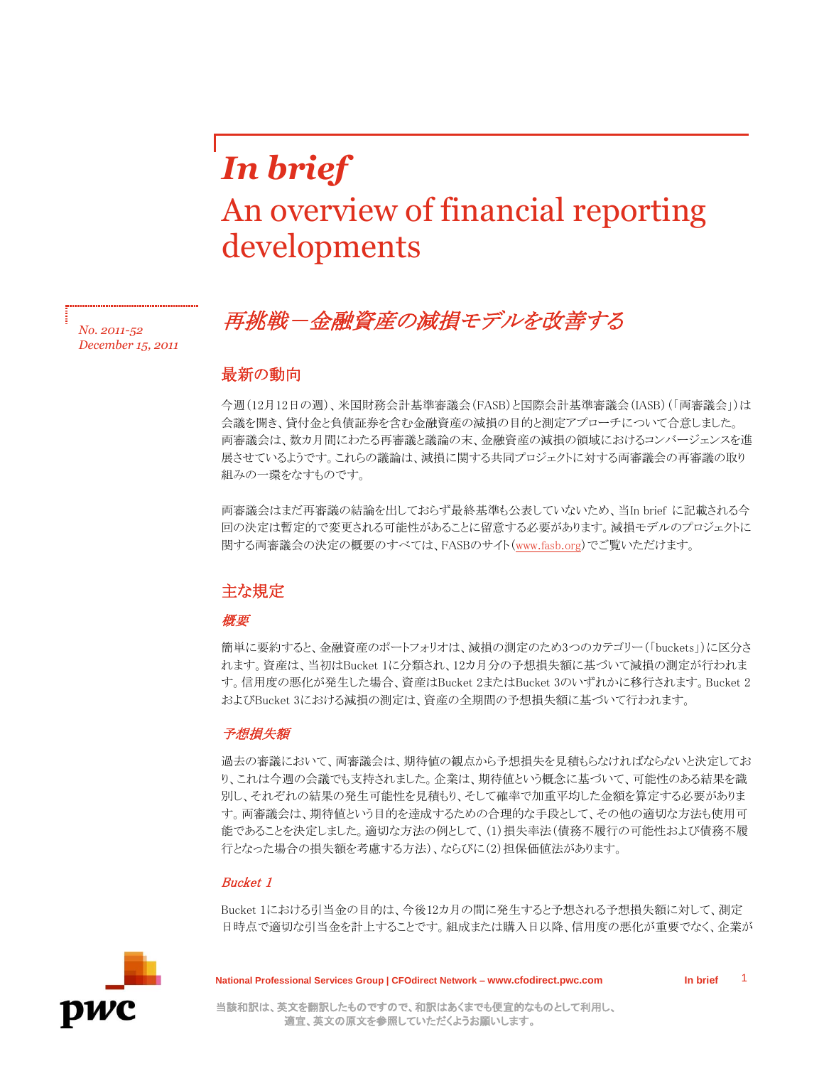# *In brief* An overview of financial reporting developments

# 再挑戦-金融資産の減損モデルを改善する *No. 2011-52*

# 最新の動向

*December 15, 2011*

今週(12月12日の週)、米国財務会計基準審議会(FASB)と国際会計基準審議会(IASB)(「両審議会」)は 会議を開き、貸付金と負債証券を含む金融資産の減損の目的と測定アプローチについて合意しました。 両審議会は、数カ月間にわたる再審議と議論の末、金融資産の減損の領域におけるコンバージェンスを進 展させているようです。これらの議論は、減損に関する共同プロジェクトに対する両審議会の再審議の取り 組みの一環をなすものです。

両審議会はまだ再審議の結論を出しておらず最終基準も公表していないため、当In brief に記載される今 回の決定は暫定的で変更される可能性があることに留意する必要があります。減損モデルのプロジェクトに 関する両審議会の決定の概要のすべては、FASBのサイト[\(www.fasb.org\)](http://www.fasb.org/home)でご覧いただけます。

# 主な規定

# 概要

簡単に要約すると、金融資産のポートフォリオは、減損の測定のため3つのカテゴリー(「buckets」)に区分さ れます。資産は、当初はBucket 1に分類され、12カ月分の予想損失額に基づいて減損の測定が行われま す。信用度の悪化が発生した場合、資産はBucket 2またはBucket 3のいずれかに移行されます。Bucket 2 およびBucket 3における減損の測定は、資産の全期間の予想損失額に基づいて行われます。

### 予想損失額

過去の審議において、両審議会は、期待値の観点から予想損失を見積もらなければならないと決定してお り、これは今週の会議でも支持されました。企業は、期待値という概念に基づいて、可能性のある結果を識 別し、それぞれの結果の発生可能性を見積もり、そして確率で加重平均した金額を算定する必要がありま す。両審議会は、期待値という目的を達成するための合理的な手段として、その他の適切な方法も使用可 能であることを決定しました。適切な方法の例として、(1)損失率法(債務不履行の可能性および債務不履 行となった場合の損失額を考慮する方法)、ならびに(2)担保価値法があります。

#### Bucket 1

Bucket 1における引当金の目的は、今後12カ月の間に発生すると予想される予想損失額に対して、測定 日時点で適切な引当金を計上することです。組成または購入日以降、信用度の悪化が重要でなく、企業が



**National Professional Services Group | CFOdirect Network – www.cfodirect.pwc.com In brief**

1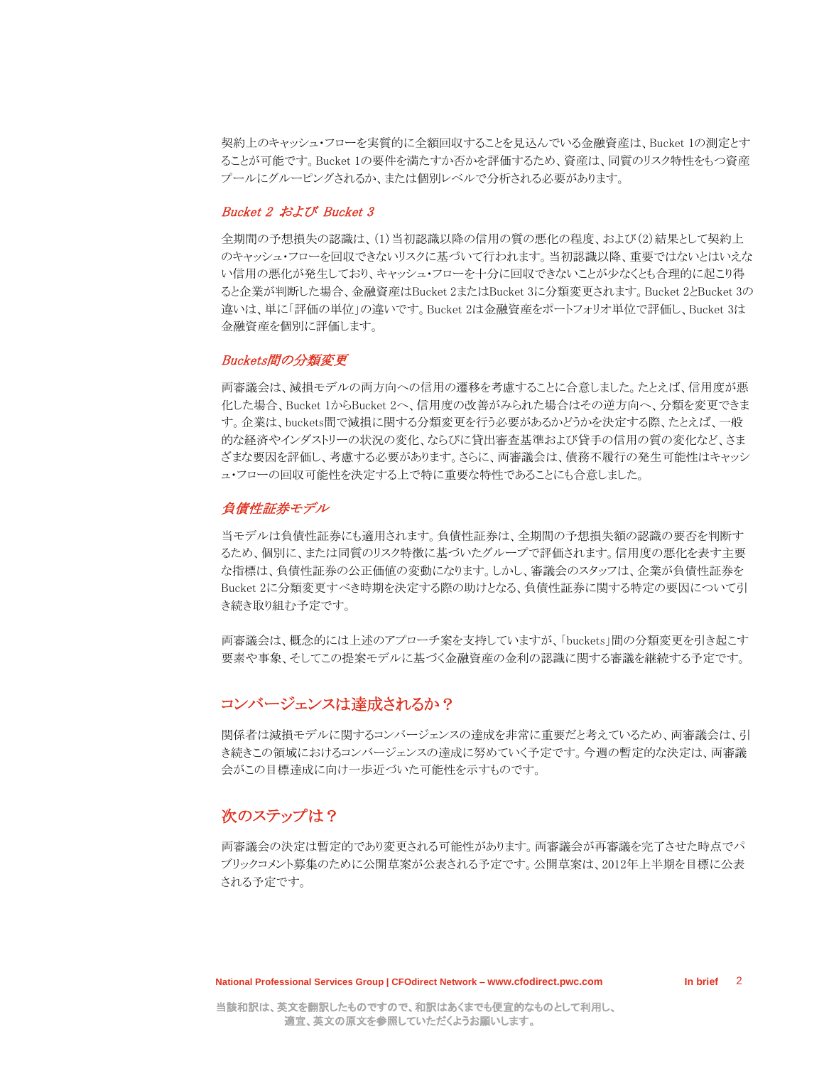契約上のキャッシュ・フローを実質的に全額回収することを見込んでいる金融資産は、Bucket 1の測定とす ることが可能です。Bucket 1の要件を満たすか否かを評価するため、資産は、同質のリスク特性をもつ資産 プールにグルーピングされるか、または個別レベルで分析される必要があります。

#### Bucket 2 および Bucket 3

全期間の予想損失の認識は、(1)当初認識以降の信用の質の悪化の程度、および(2)結果として契約上 のキャッシュ・フローを回収できないリスクに基づいて行われます。当初認識以降、重要ではないとはいえな い信用の悪化が発生しており、キャッシュ・フローを十分に回収できないことが少なくとも合理的に起こり得 ると企業が判断した場合、金融資産はBucket 2またはBucket 3に分類変更されます。Bucket 2とBucket 3の 違いは、単に「評価の単位」の違いです。Bucket 2は金融資産をポートフォリオ単位で評価し、Bucket 3は 金融資産を個別に評価します。

#### Buckets間の分類変更

両審議会は、減損モデルの両方向への信用の遷移を考慮することに合意しました。たとえば、信用度が悪 化した場合、Bucket 1からBucket 2へ、信用度の改善がみられた場合はその逆方向へ、分類を変更できま す。企業は、buckets間で減損に関する分類変更を行う必要があるかどうかを決定する際、たとえば、一般 的な経済やインダストリーの状況の変化、ならびに貸出審査基準および貸手の信用の質の変化など、さま ざまな要因を評価し、考慮する必要があります。さらに、両審議会は、債務不履行の発生可能性はキャッシ ュ・フローの回収可能性を決定する上で特に重要な特性であることにも合意しました。

#### 負債性証券モデル

当モデルは負債性証券にも適用されます。負債性証券は、全期間の予想損失額の認識の要否を判断す るため、個別に、または同質のリスク特徴に基づいたグループで評価されます。信用度の悪化を表す主要 な指標は、負債性証券の公正価値の変動になります。しかし、審議会のスタッフは、企業が負債性証券を Bucket 2に分類変更すべき時期を決定する際の助けとなる、負債性証券に関する特定の要因について引 き続き取り組む予定です。

両審議会は、概念的には上述のアプローチ案を支持していますが、「buckets」間の分類変更を引き起こす 要素や事象、そしてこの提案モデルに基づく金融資産の金利の認識に関する審議を継続する予定です。

#### コンバージェンスは達成されるか?

関係者は減損モデルに関するコンバージェンスの達成を非常に重要だと考えているため、両審議会は、引 き続きこの領域におけるコンバージェンスの達成に努めていく予定です。今週の暫定的な決定は、両審議 会がこの目標達成に向け一歩近づいた可能性を示すものです。

## 次のステップは?

両審議会の決定は暫定的であり変更される可能性があります。両審議会が再審議を完了させた時点でパ ブリックコメント募集のために公開草案が公表される予定です。公開草案は、2012年上半期を目標に公表 される予定です。

In brief<sub>2</sub>